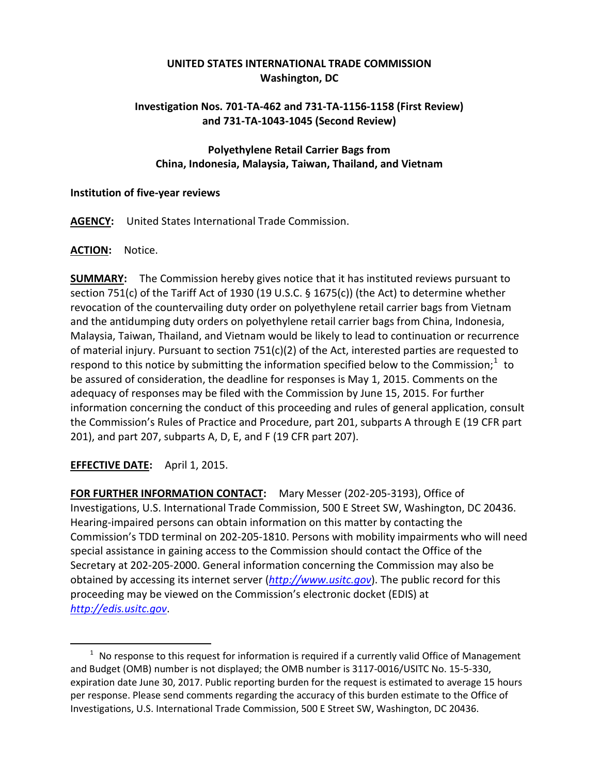# **UNITED STATES INTERNATIONAL TRADE COMMISSION Washington, DC**

## **Investigation Nos. 701-TA-462 and 731-TA-1156-1158 (First Review) and 731-TA-1043-1045 (Second Review)**

## **Polyethylene Retail Carrier Bags from China, Indonesia, Malaysia, Taiwan, Thailand, and Vietnam**

#### **Institution of five-year reviews**

**AGENCY:** United States International Trade Commission.

### **ACTION:** Notice.

**SUMMARY:** The Commission hereby gives notice that it has instituted reviews pursuant to section 751(c) of the Tariff Act of 1930 (19 U.S.C. § 1675(c)) (the Act) to determine whether revocation of the countervailing duty order on polyethylene retail carrier bags from Vietnam and the antidumping duty orders on polyethylene retail carrier bags from China, Indonesia, Malaysia, Taiwan, Thailand, and Vietnam would be likely to lead to continuation or recurrence of material injury. Pursuant to section  $751(c)(2)$  of the Act, interested parties are requested to respond to this notice by submitting the information specified below to the Commission;<sup>[1](#page-0-0)</sup> to be assured of consideration, the deadline for responses is May 1, 2015. Comments on the adequacy of responses may be filed with the Commission by June 15, 2015. For further information concerning the conduct of this proceeding and rules of general application, consult the Commission's Rules of Practice and Procedure, part 201, subparts A through E (19 CFR part 201), and part 207, subparts A, D, E, and F (19 CFR part 207).

**EFFECTIVE DATE:** April 1, 2015.

 $\overline{a}$ 

**FOR FURTHER INFORMATION CONTACT:** Mary Messer (202-205-3193), Office of Investigations, U.S. International Trade Commission, 500 E Street SW, Washington, DC 20436. Hearing-impaired persons can obtain information on this matter by contacting the Commission's TDD terminal on 202-205-1810. Persons with mobility impairments who will need special assistance in gaining access to the Commission should contact the Office of the Secretary at 202-205-2000. General information concerning the Commission may also be obtained by accessing its internet server (*[http://www.usitc.gov](http://www.usitc.gov/)*). The public record for this proceeding may be viewed on the Commission's electronic docket (EDIS) at *[http://edis.usitc.gov](http://edis.usitc.gov/)*.

<span id="page-0-0"></span> $1$  No response to this request for information is required if a currently valid Office of Management and Budget (OMB) number is not displayed; the OMB number is 3117-0016/USITC No. 15-5-330, expiration date June 30, 2017. Public reporting burden for the request is estimated to average 15 hours per response. Please send comments regarding the accuracy of this burden estimate to the Office of Investigations, U.S. International Trade Commission, 500 E Street SW, Washington, DC 20436.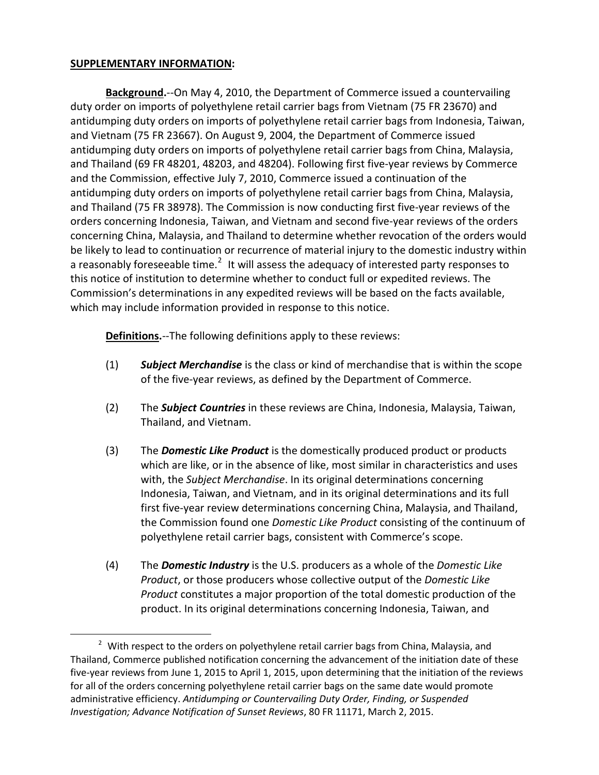### **SUPPLEMENTARY INFORMATION:**

 $\overline{a}$ 

**Background.**--On May 4, 2010, the Department of Commerce issued a countervailing duty order on imports of polyethylene retail carrier bags from Vietnam (75 FR 23670) and antidumping duty orders on imports of polyethylene retail carrier bags from Indonesia, Taiwan, and Vietnam (75 FR 23667). On August 9, 2004, the Department of Commerce issued antidumping duty orders on imports of polyethylene retail carrier bags from China, Malaysia, and Thailand (69 FR 48201, 48203, and 48204). Following first five-year reviews by Commerce and the Commission, effective July 7, 2010, Commerce issued a continuation of the antidumping duty orders on imports of polyethylene retail carrier bags from China, Malaysia, and Thailand (75 FR 38978). The Commission is now conducting first five-year reviews of the orders concerning Indonesia, Taiwan, and Vietnam and second five-year reviews of the orders concerning China, Malaysia, and Thailand to determine whether revocation of the orders would be likely to lead to continuation or recurrence of material injury to the domestic industry within a reasonably foreseeable time.<sup>[2](#page-1-0)</sup> It will assess the adequacy of interested party responses to this notice of institution to determine whether to conduct full or expedited reviews. The Commission's determinations in any expedited reviews will be based on the facts available, which may include information provided in response to this notice.

**Definitions.**--The following definitions apply to these reviews:

- (1) *Subject Merchandise* is the class or kind of merchandise that is within the scope of the five-year reviews, as defined by the Department of Commerce.
- (2) The *Subject Countries* in these reviews are China, Indonesia, Malaysia, Taiwan, Thailand, and Vietnam.
- (3) The *Domestic Like Product* is the domestically produced product or products which are like, or in the absence of like, most similar in characteristics and uses with, the *Subject Merchandise*. In its original determinations concerning Indonesia, Taiwan, and Vietnam, and in its original determinations and its full first five-year review determinations concerning China, Malaysia, and Thailand, the Commission found one *Domestic Like Product* consisting of the continuum of polyethylene retail carrier bags, consistent with Commerce's scope.
- (4) The *Domestic Industry* is the U.S. producers as a whole of the *Domestic Like Product*, or those producers whose collective output of the *Domestic Like Product* constitutes a major proportion of the total domestic production of the product. In its original determinations concerning Indonesia, Taiwan, and

<span id="page-1-0"></span> $2$  With respect to the orders on polyethylene retail carrier bags from China, Malaysia, and Thailand, Commerce published notification concerning the advancement of the initiation date of these five-year reviews from June 1, 2015 to April 1, 2015, upon determining that the initiation of the reviews for all of the orders concerning polyethylene retail carrier bags on the same date would promote administrative efficiency. *Antidumping or Countervailing Duty Order, Finding, or Suspended Investigation; Advance Notification of Sunset Reviews*, 80 FR 11171, March 2, 2015.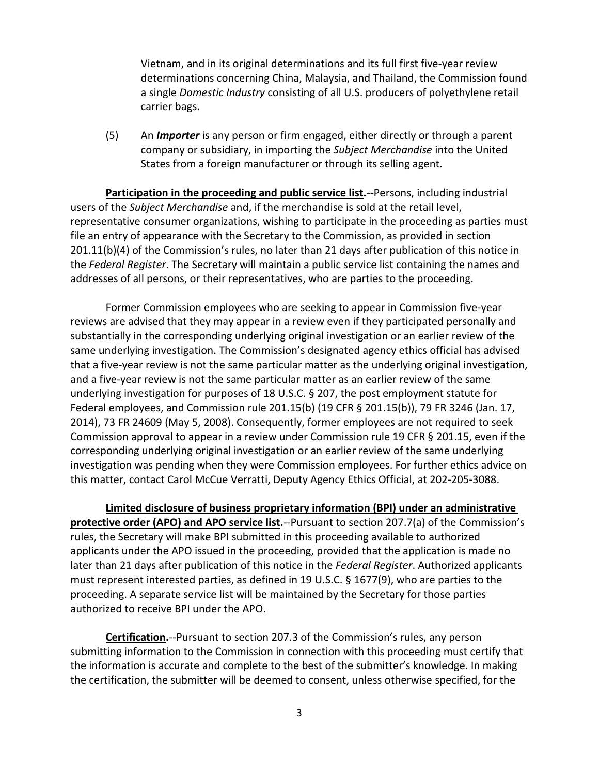Vietnam, and in its original determinations and its full first five-year review determinations concerning China, Malaysia, and Thailand, the Commission found a single *Domestic Industry* consisting of all U.S. producers of polyethylene retail carrier bags.

(5) An *Importer* is any person or firm engaged, either directly or through a parent company or subsidiary, in importing the *Subject Merchandise* into the United States from a foreign manufacturer or through its selling agent.

**Participation in the proceeding and public service list.**--Persons, including industrial users of the *Subject Merchandise* and, if the merchandise is sold at the retail level, representative consumer organizations, wishing to participate in the proceeding as parties must file an entry of appearance with the Secretary to the Commission, as provided in section 201.11(b)(4) of the Commission's rules, no later than 21 days after publication of this notice in the *Federal Register*. The Secretary will maintain a public service list containing the names and addresses of all persons, or their representatives, who are parties to the proceeding.

Former Commission employees who are seeking to appear in Commission five-year reviews are advised that they may appear in a review even if they participated personally and substantially in the corresponding underlying original investigation or an earlier review of the same underlying investigation. The Commission's designated agency ethics official has advised that a five-year review is not the same particular matter as the underlying original investigation, and a five-year review is not the same particular matter as an earlier review of the same underlying investigation for purposes of 18 U.S.C. § 207, the post employment statute for Federal employees, and Commission rule 201.15(b) (19 CFR § 201.15(b)), 79 FR 3246 (Jan. 17, 2014), 73 FR 24609 (May 5, 2008). Consequently, former employees are not required to seek Commission approval to appear in a review under Commission rule 19 CFR § 201.15, even if the corresponding underlying original investigation or an earlier review of the same underlying investigation was pending when they were Commission employees. For further ethics advice on this matter, contact Carol McCue Verratti, Deputy Agency Ethics Official, at 202-205-3088.

**Limited disclosure of business proprietary information (BPI) under an administrative protective order (APO) and APO service list.**--Pursuant to section 207.7(a) of the Commission's rules, the Secretary will make BPI submitted in this proceeding available to authorized applicants under the APO issued in the proceeding, provided that the application is made no later than 21 days after publication of this notice in the *Federal Register*. Authorized applicants must represent interested parties, as defined in 19 U.S.C. § 1677(9), who are parties to the proceeding. A separate service list will be maintained by the Secretary for those parties authorized to receive BPI under the APO.

**Certification.**--Pursuant to section 207.3 of the Commission's rules, any person submitting information to the Commission in connection with this proceeding must certify that the information is accurate and complete to the best of the submitter's knowledge. In making the certification, the submitter will be deemed to consent, unless otherwise specified, for the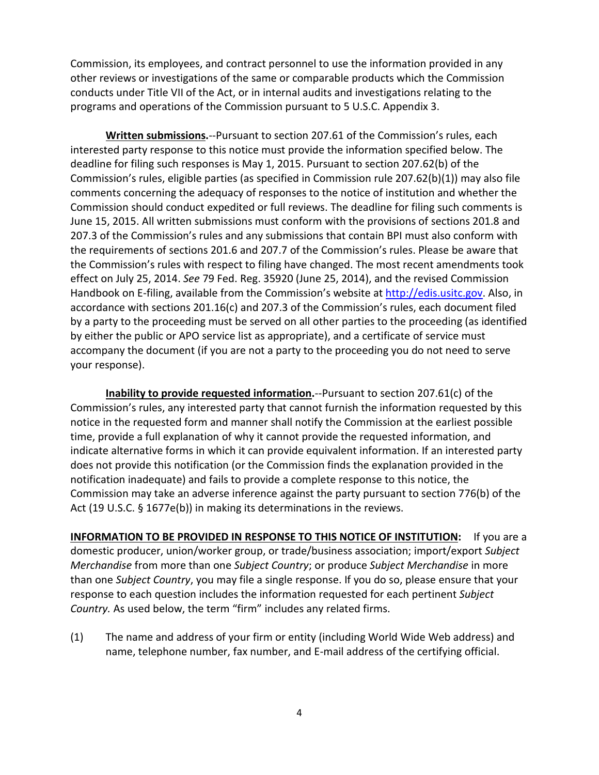Commission, its employees, and contract personnel to use the information provided in any other reviews or investigations of the same or comparable products which the Commission conducts under Title VII of the Act, or in internal audits and investigations relating to the programs and operations of the Commission pursuant to 5 U.S.C. Appendix 3.

**Written submissions.**--Pursuant to section 207.61 of the Commission's rules, each interested party response to this notice must provide the information specified below. The deadline for filing such responses is May 1, 2015. Pursuant to section 207.62(b) of the Commission's rules, eligible parties (as specified in Commission rule 207.62(b)(1)) may also file comments concerning the adequacy of responses to the notice of institution and whether the Commission should conduct expedited or full reviews. The deadline for filing such comments is June 15, 2015. All written submissions must conform with the provisions of sections 201.8 and 207.3 of the Commission's rules and any submissions that contain BPI must also conform with the requirements of sections 201.6 and 207.7 of the Commission's rules. Please be aware that the Commission's rules with respect to filing have changed. The most recent amendments took effect on July 25, 2014. *See* 79 Fed. Reg. 35920 (June 25, 2014), and the revised Commission Handbook on E-filing, available from the Commission's website at [http://edis.usitc.gov.](http://edis.usitc.gov/) Also, in accordance with sections 201.16(c) and 207.3 of the Commission's rules, each document filed by a party to the proceeding must be served on all other parties to the proceeding (as identified by either the public or APO service list as appropriate), and a certificate of service must accompany the document (if you are not a party to the proceeding you do not need to serve your response).

**Inability to provide requested information.**--Pursuant to section 207.61(c) of the Commission's rules, any interested party that cannot furnish the information requested by this notice in the requested form and manner shall notify the Commission at the earliest possible time, provide a full explanation of why it cannot provide the requested information, and indicate alternative forms in which it can provide equivalent information. If an interested party does not provide this notification (or the Commission finds the explanation provided in the notification inadequate) and fails to provide a complete response to this notice, the Commission may take an adverse inference against the party pursuant to section 776(b) of the Act (19 U.S.C. § 1677e(b)) in making its determinations in the reviews.

**INFORMATION TO BE PROVIDED IN RESPONSE TO THIS NOTICE OF INSTITUTION:** If you are a domestic producer, union/worker group, or trade/business association; import/export *Subject Merchandise* from more than one *Subject Country*; or produce *Subject Merchandise* in more than one *Subject Country*, you may file a single response. If you do so, please ensure that your response to each question includes the information requested for each pertinent *Subject Country.* As used below, the term "firm" includes any related firms.

(1) The name and address of your firm or entity (including World Wide Web address) and name, telephone number, fax number, and E-mail address of the certifying official.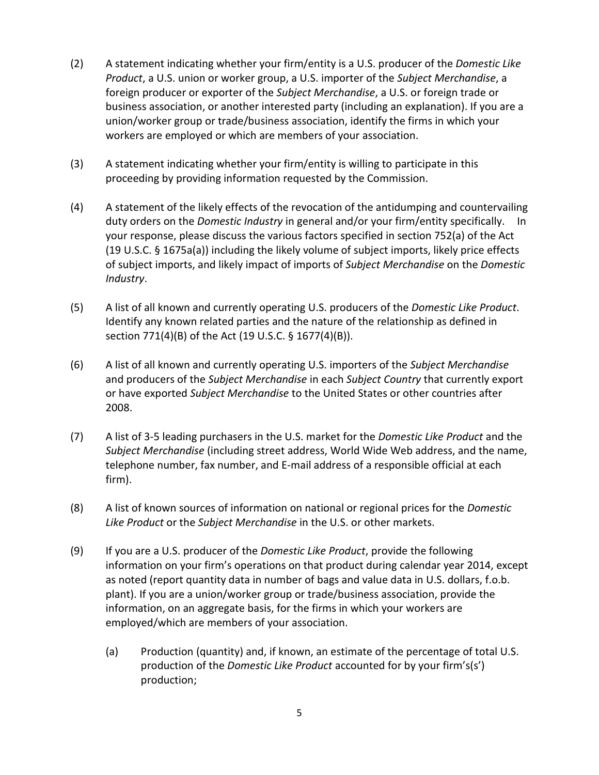- (2) A statement indicating whether your firm/entity is a U.S. producer of the *Domestic Like Product*, a U.S. union or worker group, a U.S. importer of the *Subject Merchandise*, a foreign producer or exporter of the *Subject Merchandise*, a U.S. or foreign trade or business association, or another interested party (including an explanation). If you are a union/worker group or trade/business association, identify the firms in which your workers are employed or which are members of your association.
- (3) A statement indicating whether your firm/entity is willing to participate in this proceeding by providing information requested by the Commission.
- (4) A statement of the likely effects of the revocation of the antidumping and countervailing duty orders on the *Domestic Industry* in general and/or your firm/entity specifically. In your response, please discuss the various factors specified in section 752(a) of the Act (19 U.S.C. § 1675a(a)) including the likely volume of subject imports, likely price effects of subject imports, and likely impact of imports of *Subject Merchandise* on the *Domestic Industry*.
- (5) A list of all known and currently operating U.S. producers of the *Domestic Like Product*. Identify any known related parties and the nature of the relationship as defined in section 771(4)(B) of the Act (19 U.S.C. § 1677(4)(B)).
- (6) A list of all known and currently operating U.S. importers of the *Subject Merchandise* and producers of the *Subject Merchandise* in each *Subject Country* that currently export or have exported *Subject Merchandise* to the United States or other countries after 2008.
- (7) A list of 3-5 leading purchasers in the U.S. market for the *Domestic Like Product* and the *Subject Merchandise* (including street address, World Wide Web address, and the name, telephone number, fax number, and E-mail address of a responsible official at each firm).
- (8) A list of known sources of information on national or regional prices for the *Domestic Like Product* or the *Subject Merchandise* in the U.S. or other markets.
- (9) If you are a U.S. producer of the *Domestic Like Product*, provide the following information on your firm's operations on that product during calendar year 2014, except as noted (report quantity data in number of bags and value data in U.S. dollars, f.o.b. plant). If you are a union/worker group or trade/business association, provide the information, on an aggregate basis, for the firms in which your workers are employed/which are members of your association.
	- (a) Production (quantity) and, if known, an estimate of the percentage of total U.S. production of the *Domestic Like Product* accounted for by your firm's(s') production;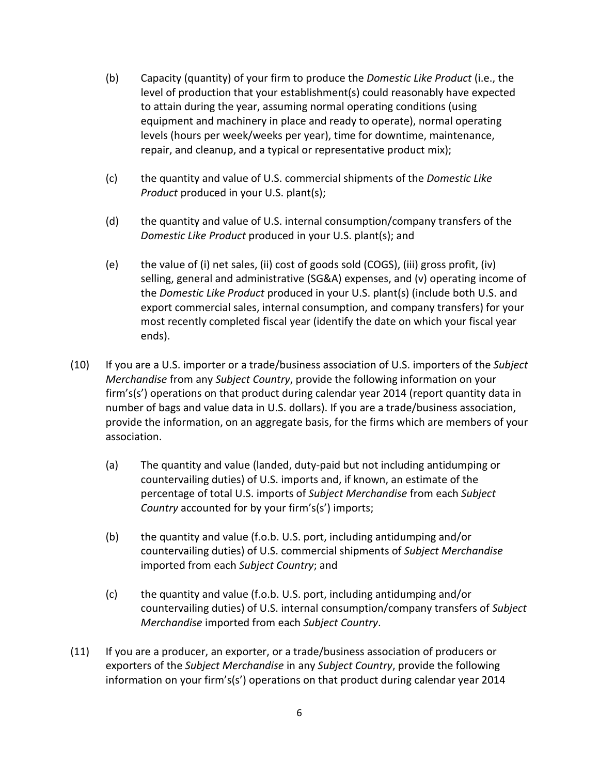- (b) Capacity (quantity) of your firm to produce the *Domestic Like Product* (i.e., the level of production that your establishment(s) could reasonably have expected to attain during the year, assuming normal operating conditions (using equipment and machinery in place and ready to operate), normal operating levels (hours per week/weeks per year), time for downtime, maintenance, repair, and cleanup, and a typical or representative product mix);
- (c) the quantity and value of U.S. commercial shipments of the *Domestic Like Product* produced in your U.S. plant(s);
- (d) the quantity and value of U.S. internal consumption/company transfers of the *Domestic Like Product* produced in your U.S. plant(s); and
- (e) the value of (i) net sales, (ii) cost of goods sold (COGS), (iii) gross profit, (iv) selling, general and administrative (SG&A) expenses, and (v) operating income of the *Domestic Like Product* produced in your U.S. plant(s) (include both U.S. and export commercial sales, internal consumption, and company transfers) for your most recently completed fiscal year (identify the date on which your fiscal year ends).
- (10) If you are a U.S. importer or a trade/business association of U.S. importers of the *Subject Merchandise* from any *Subject Country*, provide the following information on your firm's(s') operations on that product during calendar year 2014 (report quantity data in number of bags and value data in U.S. dollars). If you are a trade/business association, provide the information, on an aggregate basis, for the firms which are members of your association.
	- (a) The quantity and value (landed, duty-paid but not including antidumping or countervailing duties) of U.S. imports and, if known, an estimate of the percentage of total U.S. imports of *Subject Merchandise* from each *Subject Country* accounted for by your firm's(s') imports;
	- (b) the quantity and value (f.o.b. U.S. port, including antidumping and/or countervailing duties) of U.S. commercial shipments of *Subject Merchandise* imported from each *Subject Country*; and
	- (c) the quantity and value (f.o.b. U.S. port, including antidumping and/or countervailing duties) of U.S. internal consumption/company transfers of *Subject Merchandise* imported from each *Subject Country*.
- (11) If you are a producer, an exporter, or a trade/business association of producers or exporters of the *Subject Merchandise* in any *Subject Country*, provide the following information on your firm's(s') operations on that product during calendar year 2014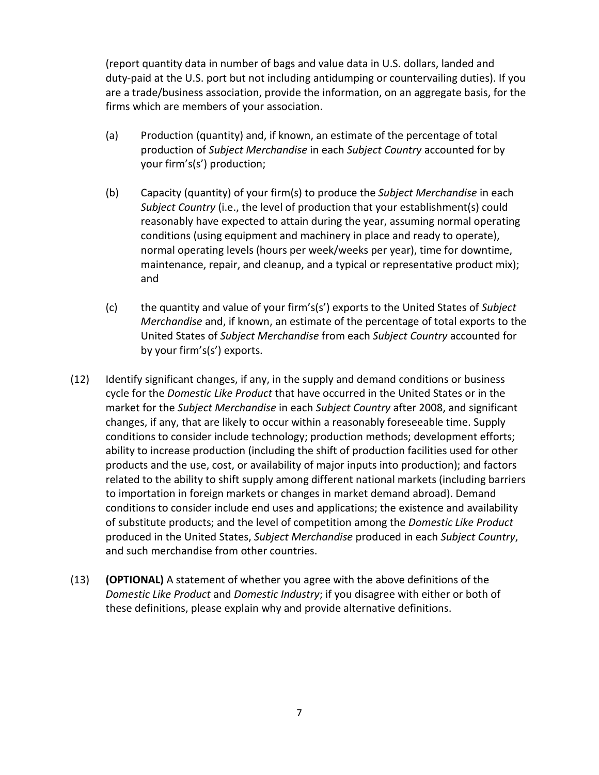(report quantity data in number of bags and value data in U.S. dollars, landed and duty-paid at the U.S. port but not including antidumping or countervailing duties). If you are a trade/business association, provide the information, on an aggregate basis, for the firms which are members of your association.

- (a) Production (quantity) and, if known, an estimate of the percentage of total production of *Subject Merchandise* in each *Subject Country* accounted for by your firm's(s') production;
- (b) Capacity (quantity) of your firm(s) to produce the *Subject Merchandise* in each *Subject Country* (i.e., the level of production that your establishment(s) could reasonably have expected to attain during the year, assuming normal operating conditions (using equipment and machinery in place and ready to operate), normal operating levels (hours per week/weeks per year), time for downtime, maintenance, repair, and cleanup, and a typical or representative product mix); and
- (c) the quantity and value of your firm's(s') exports to the United States of *Subject Merchandise* and, if known, an estimate of the percentage of total exports to the United States of *Subject Merchandise* from each *Subject Country* accounted for by your firm's(s') exports.
- (12) Identify significant changes, if any, in the supply and demand conditions or business cycle for the *Domestic Like Product* that have occurred in the United States or in the market for the *Subject Merchandise* in each *Subject Country* after 2008, and significant changes, if any, that are likely to occur within a reasonably foreseeable time. Supply conditions to consider include technology; production methods; development efforts; ability to increase production (including the shift of production facilities used for other products and the use, cost, or availability of major inputs into production); and factors related to the ability to shift supply among different national markets (including barriers to importation in foreign markets or changes in market demand abroad). Demand conditions to consider include end uses and applications; the existence and availability of substitute products; and the level of competition among the *Domestic Like Product* produced in the United States, *Subject Merchandise* produced in each *Subject Country*, and such merchandise from other countries.
- (13) **(OPTIONAL)** A statement of whether you agree with the above definitions of the *Domestic Like Product* and *Domestic Industry*; if you disagree with either or both of these definitions, please explain why and provide alternative definitions.